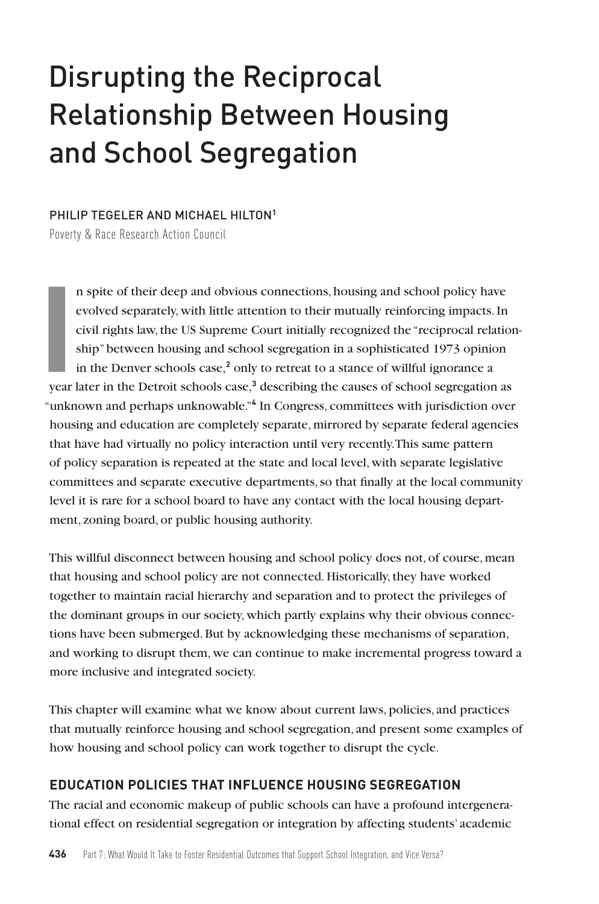# Disrupting the Reciprocal Relationship Between Housing and School Segregation

#### PHILIP TEGELER AND MICHAEL HILTON**<sup>1</sup>**

Poverty & Race Research Action Council

**I**<br> **I**<br> **I**<br> **Vear** n spite of their deep and obvious connections, housing and school policy have evolved separately, with little attention to their mutually reinforcing impacts. In civil rights law, the US Supreme Court initially recognized the "reciprocal relationship" between housing and school segregation in a sophisticated 1973 opinion in the Denver schools case,**<sup>2</sup>** only to retreat to a stance of willful ignorance a year later in the Detroit schools case,**<sup>3</sup>** describing the causes of school segregation as "unknown and perhaps unknowable."**<sup>4</sup>** In Congress, committees with jurisdiction over housing and education are completely separate, mirrored by separate federal agencies that have had virtually no policy interaction until very recently. This same pattern of policy separation is repeated at the state and local level, with separate legislative committees and separate executive departments, so that finally at the local community level it is rare for a school board to have any contact with the local housing department, zoning board, or public housing authority.

This willful disconnect between housing and school policy does not, of course, mean that housing and school policy are not connected. Historically, they have worked together to maintain racial hierarchy and separation and to protect the privileges of the dominant groups in our society, which partly explains why their obvious connections have been submerged. But by acknowledging these mechanisms of separation, and working to disrupt them, we can continue to make incremental progress toward a more inclusive and integrated society.

This chapter will examine what we know about current laws, policies, and practices that mutually reinforce housing and school segregation, and present some examples of how housing and school policy can work together to disrupt the cycle.

#### **EDUCATION POLICIES THAT INFLUENCE HOUSING SEGREGATION**

The racial and economic makeup of public schools can have a profound intergenerational effect on residential segregation or integration by affecting students' academic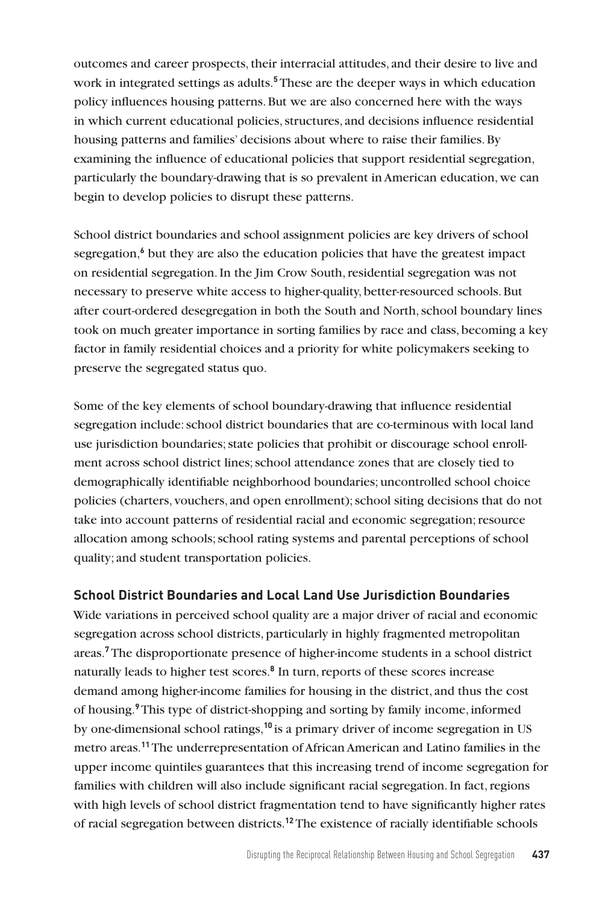outcomes and career prospects, their interracial attitudes, and their desire to live and work in integrated settings as adults.**<sup>5</sup>** These are the deeper ways in which education policy influences housing patterns. But we are also concerned here with the ways in which current educational policies, structures, and decisions influence residential housing patterns and families' decisions about where to raise their families. By examining the influence of educational policies that support residential segregation, particularly the boundary-drawing that is so prevalent in American education, we can begin to develop policies to disrupt these patterns.

School district boundaries and school assignment policies are key drivers of school segregation,<sup>6</sup> but they are also the education policies that have the greatest impact on residential segregation. In the Jim Crow South, residential segregation was not necessary to preserve white access to higher-quality, better-resourced schools. But after court-ordered desegregation in both the South and North, school boundary lines took on much greater importance in sorting families by race and class, becoming a key factor in family residential choices and a priority for white policymakers seeking to preserve the segregated status quo.

Some of the key elements of school boundary-drawing that influence residential segregation include: school district boundaries that are co-terminous with local land use jurisdiction boundaries; state policies that prohibit or discourage school enrollment across school district lines; school attendance zones that are closely tied to demographically identifiable neighborhood boundaries; uncontrolled school choice policies (charters, vouchers, and open enrollment); school siting decisions that do not take into account patterns of residential racial and economic segregation; resource allocation among schools; school rating systems and parental perceptions of school quality; and student transportation policies.

#### **School District Boundaries and Local Land Use Jurisdiction Boundaries**

Wide variations in perceived school quality are a major driver of racial and economic segregation across school districts, particularly in highly fragmented metropolitan areas.**<sup>7</sup>** The disproportionate presence of higher-income students in a school district naturally leads to higher test scores.**<sup>8</sup>** In turn, reports of these scores increase demand among higher-income families for housing in the district, and thus the cost of housing.**<sup>9</sup>**This type of district-shopping and sorting by family income, informed by one-dimensional school ratings,**<sup>10</sup>** is a primary driver of income segregation in US metro areas.**<sup>11</sup>**The underrepresentation of African American and Latino families in the upper income quintiles guarantees that this increasing trend of income segregation for families with children will also include significant racial segregation. In fact, regions with high levels of school district fragmentation tend to have significantly higher rates of racial segregation between districts.**12**The existence of racially identifiable schools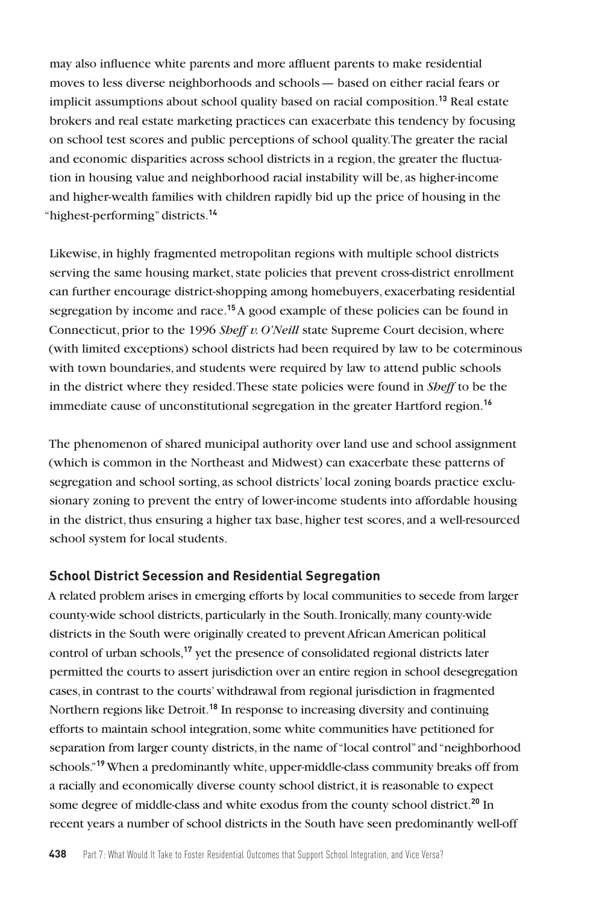may also influence white parents and more affluent parents to make residential moves to less diverse neighborhoods and schools— based on either racial fears or implicit assumptions about school quality based on racial composition.**<sup>13</sup>** Real estate brokers and real estate marketing practices can exacerbate this tendency by focusing on school test scores and public perceptions of school quality. The greater the racial and economic disparities across school districts in a region, the greater the fluctuation in housing value and neighborhood racial instability will be, as higher-income and higher-wealth families with children rapidly bid up the price of housing in the "highest-performing" districts.**<sup>14</sup>**

Likewise, in highly fragmented metropolitan regions with multiple school districts serving the same housing market, state policies that prevent cross-district enrollment can further encourage district-shopping among homebuyers, exacerbating residential segregation by income and race.**<sup>15</sup>**A good example of these policies can be found in Connecticut, prior to the 1996 *Sheff v. O'Neill* state Supreme Court decision, where (with limited exceptions) school districts had been required by law to be coterminous with town boundaries, and students were required by law to attend public schools in the district where they resided. These state policies were found in *Sheff* to be the immediate cause of unconstitutional segregation in the greater Hartford region.**<sup>16</sup>**

The phenomenon of shared municipal authority over land use and school assignment (which is common in the Northeast and Midwest) can exacerbate these patterns of segregation and school sorting, as school districts' local zoning boards practice exclusionary zoning to prevent the entry of lower-income students into affordable housing in the district, thus ensuring a higher tax base, higher test scores, and a well-resourced school system for local students.

#### **School District Secession and Residential Segregation**

A related problem arises in emerging efforts by local communities to secede from larger county-wide school districts, particularly in the South. Ironically, many county-wide districts in the South were originally created to prevent African American political control of urban schools,**<sup>17</sup>** yet the presence of consolidated regional districts later permitted the courts to assert jurisdiction over an entire region in school desegregation cases, in contrast to the courts' withdrawal from regional jurisdiction in fragmented Northern regions like Detroit.**<sup>18</sup>** In response to increasing diversity and continuing efforts to maintain school integration, some white communities have petitioned for separation from larger county districts, in the name of "local control" and "neighborhood schools."**<sup>19</sup>** When a predominantly white, upper-middle-class community breaks off from a racially and economically diverse county school district, it is reasonable to expect some degree of middle-class and white exodus from the county school district.**<sup>20</sup>** In recent years a number of school districts in the South have seen predominantly well-off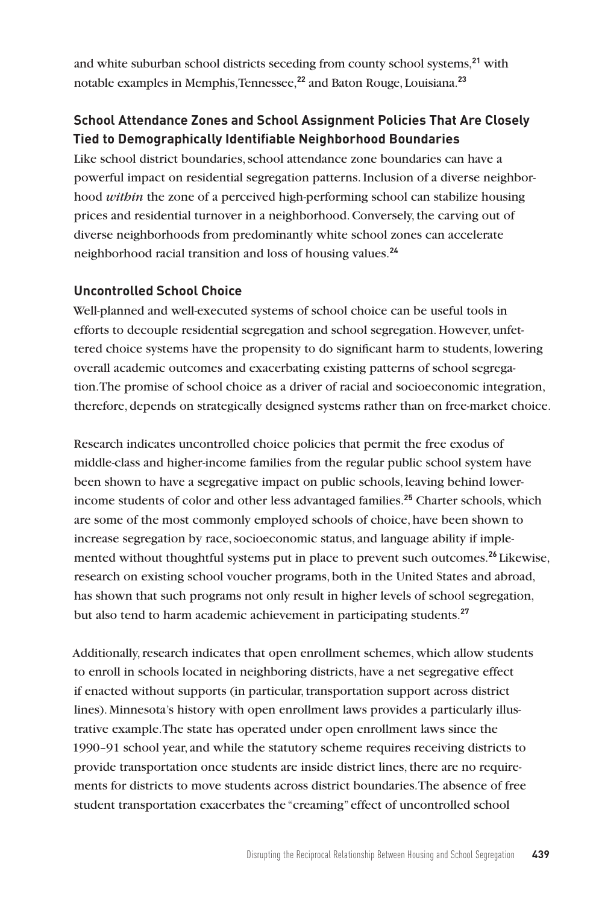and white suburban school districts seceding from county school systems,**<sup>21</sup>** with notable examples in Memphis, Tennessee,**<sup>22</sup>** and Baton Rouge, Louisiana.**<sup>23</sup>**

## **School Attendance Zones and School Assignment Policies That Are Closely Tied to Demographically Identifiable Neighborhood Boundaries**

Like school district boundaries, school attendance zone boundaries can have a powerful impact on residential segregation patterns. Inclusion of a diverse neighborhood *within* the zone of a perceived high-performing school can stabilize housing prices and residential turnover in a neighborhood. Conversely, the carving out of diverse neighborhoods from predominantly white school zones can accelerate neighborhood racial transition and loss of housing values.**<sup>24</sup>**

## **Uncontrolled School Choice**

Well-planned and well-executed systems of school choice can be useful tools in efforts to decouple residential segregation and school segregation. However, unfettered choice systems have the propensity to do significant harm to students, lowering overall academic outcomes and exacerbating existing patterns of school segregation.The promise of school choice as a driver of racial and socioeconomic integration, therefore, depends on strategically designed systems rather than on free-market choice.

Research indicates uncontrolled choice policies that permit the free exodus of middle-class and higher-income families from the regular public school system have been shown to have a segregative impact on public schools, leaving behind lowerincome students of color and other less advantaged families.**<sup>25</sup>** Charter schools, which are some of the most commonly employed schools of choice, have been shown to increase segregation by race, socioeconomic status, and language ability if implemented without thoughtful systems put in place to prevent such outcomes.**<sup>26</sup>** Likewise, research on existing school voucher programs, both in the United States and abroad, has shown that such programs not only result in higher levels of school segregation, but also tend to harm academic achievement in participating students.**<sup>27</sup>**

Additionally, research indicates that open enrollment schemes, which allow students to enroll in schools located in neighboring districts, have a net segregative effect if enacted without supports (in particular, transportation support across district lines). Minnesota's history with open enrollment laws provides a particularly illustrative example. The state has operated under open enrollment laws since the 1990–91 school year, and while the statutory scheme requires receiving districts to provide transportation once students are inside district lines, there are no requirements for districts to move students across district boundaries.The absence of free student transportation exacerbates the "creaming" effect of uncontrolled school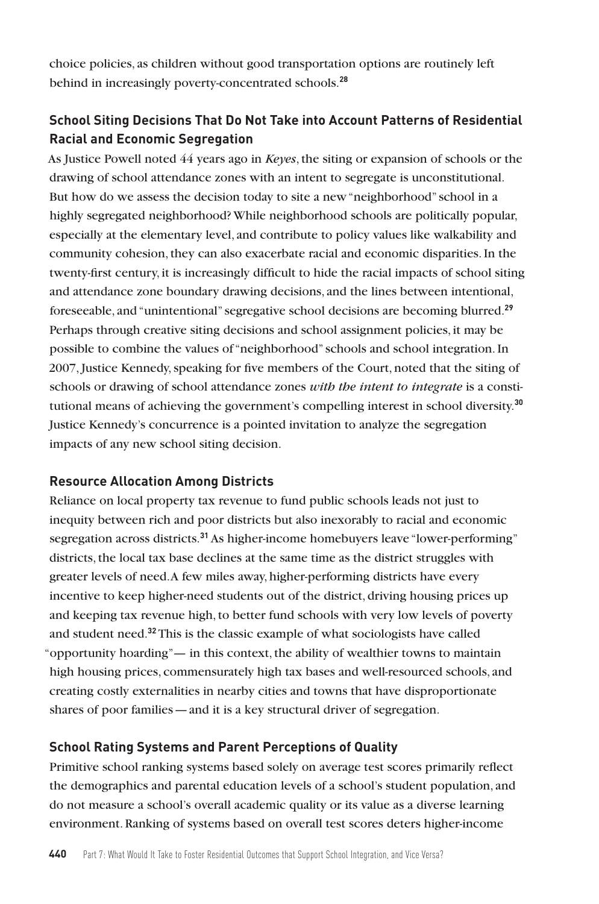choice policies, as children without good transportation options are routinely left behind in increasingly poverty-concentrated schools.**<sup>28</sup>**

# **School Siting Decisions That Do Not Take into Account Patterns of Residential Racial and Economic Segregation**

As Justice Powell noted 44 years ago in *Keyes*, the siting or expansion of schools or the drawing of school attendance zones with an intent to segregate is unconstitutional. But how do we assess the decision today to site a new "neighborhood" school in a highly segregated neighborhood? While neighborhood schools are politically popular, especially at the elementary level, and contribute to policy values like walkability and community cohesion, they can also exacerbate racial and economic disparities. In the twenty-first century, it is increasingly difficult to hide the racial impacts of school siting and attendance zone boundary drawing decisions, and the lines between intentional, foreseeable, and "unintentional" segregative school decisions are becoming blurred.**<sup>29</sup>** Perhaps through creative siting decisions and school assignment policies, it may be possible to combine the values of "neighborhood" schools and school integration. In 2007, Justice Kennedy, speaking for five members of the Court, noted that the siting of schools or drawing of school attendance zones *with the intent to integrate* is a constitutional means of achieving the government's compelling interest in school diversity.**<sup>30</sup>** Justice Kennedy's concurrence is a pointed invitation to analyze the segregation impacts of any new school siting decision.

## **Resource Allocation Among Districts**

Reliance on local property tax revenue to fund public schools leads not just to inequity between rich and poor districts but also inexorably to racial and economic segregation across districts.**<sup>31</sup>** As higher-income homebuyers leave "lower-performing" districts, the local tax base declines at the same time as the district struggles with greater levels of need. A few miles away, higher-performing districts have every incentive to keep higher-need students out of the district, driving housing prices up and keeping tax revenue high, to better fund schools with very low levels of poverty and student need.**<sup>32</sup>** This is the classic example of what sociologists have called "opportunity hoarding"— in this context, the ability of wealthier towns to maintain high housing prices, commensurately high tax bases and well-resourced schools, and creating costly externalities in nearby cities and towns that have disproportionate shares of poor families—and it is a key structural driver of segregation.

#### **School Rating Systems and Parent Perceptions of Quality**

Primitive school ranking systems based solely on average test scores primarily reflect the demographics and parental education levels of a school's student population, and do not measure a school's overall academic quality or its value as a diverse learning environment. Ranking of systems based on overall test scores deters higher-income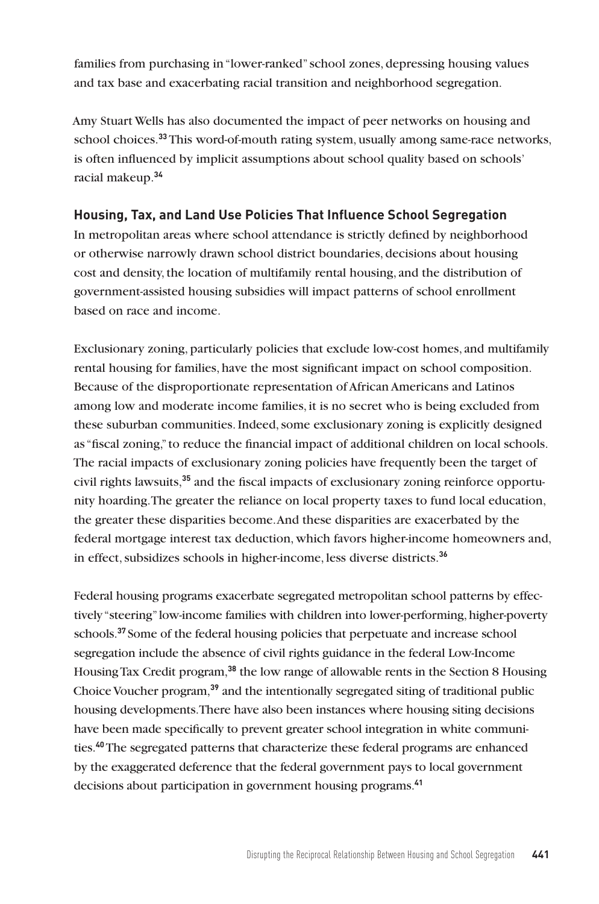families from purchasing in "lower-ranked" school zones, depressing housing values and tax base and exacerbating racial transition and neighborhood segregation.

Amy Stuart Wells has also documented the impact of peer networks on housing and school choices.**<sup>33</sup>** This word-of-mouth rating system, usually among same-race networks, is often influenced by implicit assumptions about school quality based on schools' racial makeup.**<sup>34</sup>**

## **Housing, Tax, and Land Use Policies That Influence School Segregation**

In metropolitan areas where school attendance is strictly defined by neighborhood or otherwise narrowly drawn school district boundaries, decisions about housing cost and density, the location of multifamily rental housing, and the distribution of government-assisted housing subsidies will impact patterns of school enrollment based on race and income.

Exclusionary zoning, particularly policies that exclude low-cost homes, and multifamily rental housing for families, have the most significant impact on school composition. Because of the disproportionate representation of African Americans and Latinos among low and moderate income families, it is no secret who is being excluded from these suburban communities. Indeed, some exclusionary zoning is explicitly designed as "fiscal zoning," to reduce the financial impact of additional children on local schools. The racial impacts of exclusionary zoning policies have frequently been the target of civil rights lawsuits,**35** and the fiscal impacts of exclusionary zoning reinforce opportunity hoarding. The greater the reliance on local property taxes to fund local education, the greater these disparities become. And these disparities are exacerbated by the federal mortgage interest tax deduction, which favors higher-income homeowners and, in effect, subsidizes schools in higher-income, less diverse districts.**<sup>36</sup>**

Federal housing programs exacerbate segregated metropolitan school patterns by effectively "steering" low-income families with children into lower-performing, higher-poverty schools.**<sup>37</sup>** Some of the federal housing policies that perpetuate and increase school segregation include the absence of civil rights guidance in the federal Low-Income Housing Tax Credit program,**<sup>38</sup>** the low range of allowable rents in the Section 8 Housing Choice Voucher program,**<sup>39</sup>** and the intentionally segregated siting of traditional public housing developments. There have also been instances where housing siting decisions have been made specifically to prevent greater school integration in white communities.**<sup>40</sup>** The segregated patterns that characterize these federal programs are enhanced by the exaggerated deference that the federal government pays to local government decisions about participation in government housing programs.**41**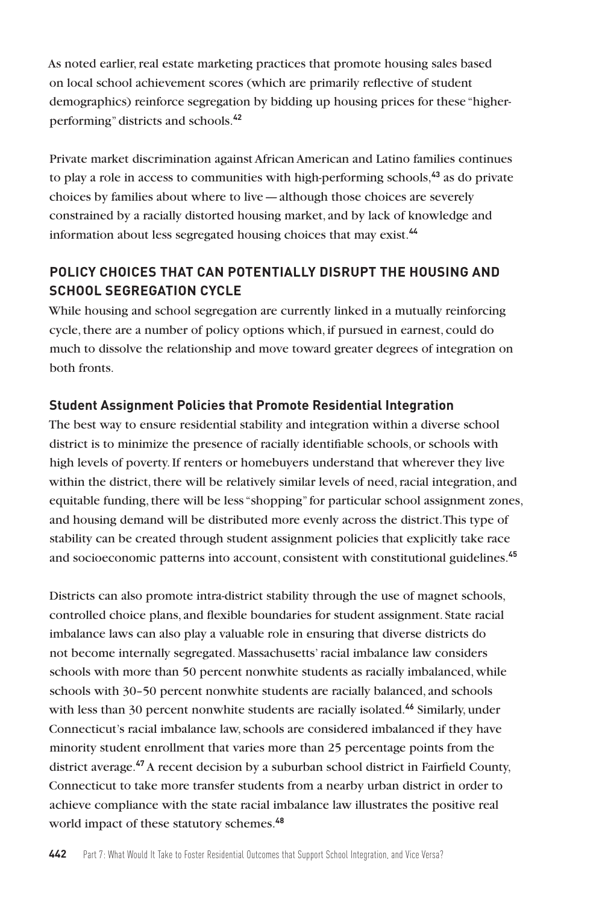As noted earlier, real estate marketing practices that promote housing sales based on local school achievement scores (which are primarily reflective of student demographics) reinforce segregation by bidding up housing prices for these "higherperforming" districts and schools.**<sup>42</sup>**

Private market discrimination against African American and Latino families continues to play a role in access to communities with high-performing schools,**<sup>43</sup>** as do private choices by families about where to live—although those choices are severely constrained by a racially distorted housing market, and by lack of knowledge and information about less segregated housing choices that may exist.**<sup>44</sup>**

# **POLICY CHOICES THAT CAN POTENTIALLY DISRUPT THE HOUSING AND SCHOOL SEGREGATION CYCLE**

While housing and school segregation are currently linked in a mutually reinforcing cycle, there are a number of policy options which, if pursued in earnest, could do much to dissolve the relationship and move toward greater degrees of integration on both fronts.

## **Student Assignment Policies that Promote Residential Integration**

The best way to ensure residential stability and integration within a diverse school district is to minimize the presence of racially identifiable schools, or schools with high levels of poverty. If renters or homebuyers understand that wherever they live within the district, there will be relatively similar levels of need, racial integration, and equitable funding, there will be less "shopping" for particular school assignment zones, and housing demand will be distributed more evenly across the district. This type of stability can be created through student assignment policies that explicitly take race and socioeconomic patterns into account, consistent with constitutional guidelines.**<sup>45</sup>**

Districts can also promote intra-district stability through the use of magnet schools, controlled choice plans, and flexible boundaries for student assignment. State racial imbalance laws can also play a valuable role in ensuring that diverse districts do not become internally segregated. Massachusetts' racial imbalance law considers schools with more than 50 percent nonwhite students as racially imbalanced, while schools with 30–50 percent nonwhite students are racially balanced, and schools with less than 30 percent nonwhite students are racially isolated.**<sup>46</sup>** Similarly, under Connecticut's racial imbalance law, schools are considered imbalanced if they have minority student enrollment that varies more than 25 percentage points from the district average.**<sup>47</sup>** A recent decision by a suburban school district in Fairfield County, Connecticut to take more transfer students from a nearby urban district in order to achieve compliance with the state racial imbalance law illustrates the positive real world impact of these statutory schemes.**48**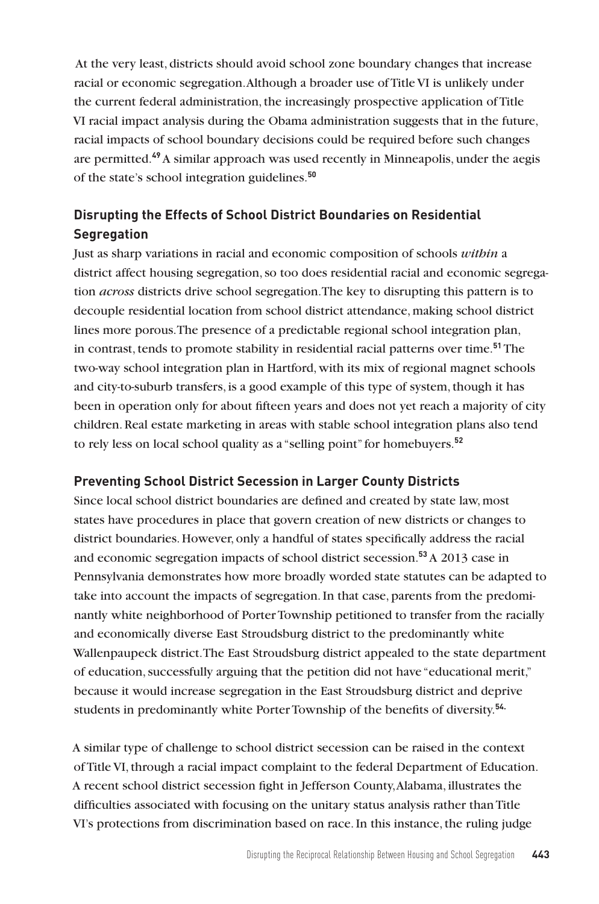At the very least, districts should avoid school zone boundary changes that increase racial or economic segregation. Although a broader use of Title VI is unlikely under the current federal administration, the increasingly prospective application of Title VI racial impact analysis during the Obama administration suggests that in the future, racial impacts of school boundary decisions could be required before such changes are permitted.**<sup>49</sup>**A similar approach was used recently in Minneapolis, under the aegis of the state's school integration guidelines.**<sup>50</sup>**

# **Disrupting the Effects of School District Boundaries on Residential Segregation**

Just as sharp variations in racial and economic composition of schools *within* a district affect housing segregation, so too does residential racial and economic segregation *across* districts drive school segregation. The key to disrupting this pattern is to decouple residential location from school district attendance, making school district lines more porous. The presence of a predictable regional school integration plan, in contrast, tends to promote stability in residential racial patterns over time.**<sup>51</sup>** The two-way school integration plan in Hartford, with its mix of regional magnet schools and city-to-suburb transfers, is a good example of this type of system, though it has been in operation only for about fifteen years and does not yet reach a majority of city children. Real estate marketing in areas with stable school integration plans also tend to rely less on local school quality as a "selling point" for homebuyers.**<sup>52</sup>**

## **Preventing School District Secession in Larger County Districts**

Since local school district boundaries are defined and created by state law, most states have procedures in place that govern creation of new districts or changes to district boundaries. However, only a handful of states specifically address the racial and economic segregation impacts of school district secession.**<sup>53</sup>** A 2013 case in Pennsylvania demonstrates how more broadly worded state statutes can be adapted to take into account the impacts of segregation. In that case, parents from the predominantly white neighborhood of Porter Township petitioned to transfer from the racially and economically diverse East Stroudsburg district to the predominantly white Wallenpaupeck district. The East Stroudsburg district appealed to the state department of education, successfully arguing that the petition did not have "educational merit," because it would increase segregation in the East Stroudsburg district and deprive students in predominantly white Porter Township of the benefits of diversity.**54.** 

A similar type of challenge to school district secession can be raised in the context of Title VI, through a racial impact complaint to the federal Department of Education. A recent school district secession fight in Jefferson County, Alabama, illustrates the difficulties associated with focusing on the unitary status analysis rather than Title VI's protections from discrimination based on race. In this instance, the ruling judge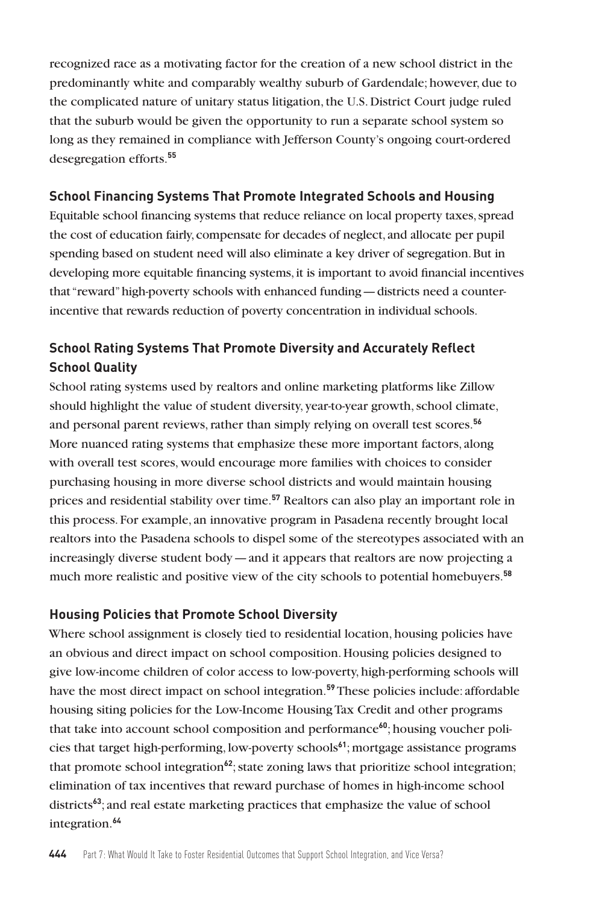recognized race as a motivating factor for the creation of a new school district in the predominantly white and comparably wealthy suburb of Gardendale; however, due to the complicated nature of unitary status litigation, the U.S. District Court judge ruled that the suburb would be given the opportunity to run a separate school system so long as they remained in compliance with Jefferson County's ongoing court-ordered desegregation efforts.**<sup>55</sup>**

## **School Financing Systems That Promote Integrated Schools and Housing**

Equitable school financing systems that reduce reliance on local property taxes, spread the cost of education fairly, compensate for decades of neglect, and allocate per pupil spending based on student need will also eliminate a key driver of segregation. But in developing more equitable financing systems, it is important to avoid financial incentives that "reward" high-poverty schools with enhanced funding—districts need a counterincentive that rewards reduction of poverty concentration in individual schools.

# **School Rating Systems That Promote Diversity and Accurately Reflect School Quality**

School rating systems used by realtors and online marketing platforms like Zillow should highlight the value of student diversity, year-to-year growth, school climate, and personal parent reviews, rather than simply relying on overall test scores.**<sup>56</sup>** More nuanced rating systems that emphasize these more important factors, along with overall test scores, would encourage more families with choices to consider purchasing housing in more diverse school districts and would maintain housing prices and residential stability over time.**<sup>57</sup>** Realtors can also play an important role in this process. For example, an innovative program in Pasadena recently brought local realtors into the Pasadena schools to dispel some of the stereotypes associated with an increasingly diverse student body—and it appears that realtors are now projecting a much more realistic and positive view of the city schools to potential homebuyers.**<sup>58</sup>**

#### **Housing Policies that Promote School Diversity**

Where school assignment is closely tied to residential location, housing policies have an obvious and direct impact on school composition. Housing policies designed to give low-income children of color access to low-poverty, high-performing schools will have the most direct impact on school integration.**<sup>59</sup>** These policies include: affordable housing siting policies for the Low-Income Housing Tax Credit and other programs that take into account school composition and performance**60**; housing voucher policies that target high-performing, low-poverty schools**<sup>61</sup>**; mortgage assistance programs that promote school integration**<sup>62</sup>**; state zoning laws that prioritize school integration; elimination of tax incentives that reward purchase of homes in high-income school districts**<sup>63</sup>**; and real estate marketing practices that emphasize the value of school integration.**64**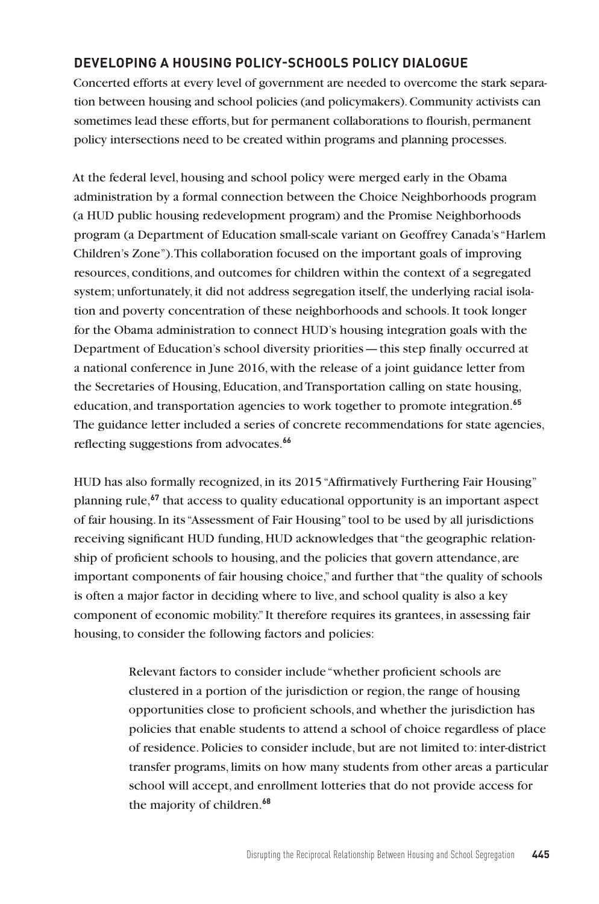## **DEVELOPING A HOUSING POLICY-SCHOOLS POLICY DIALOGUE**

Concerted efforts at every level of government are needed to overcome the stark separation between housing and school policies (and policymakers). Community activists can sometimes lead these efforts, but for permanent collaborations to flourish, permanent policy intersections need to be created within programs and planning processes.

At the federal level, housing and school policy were merged early in the Obama administration by a formal connection between the Choice Neighborhoods program (a HUD public housing redevelopment program) and the Promise Neighborhoods program (a Department of Education small-scale variant on Geoffrey Canada's "Harlem Children's Zone"). This collaboration focused on the important goals of improving resources, conditions, and outcomes for children within the context of a segregated system; unfortunately, it did not address segregation itself, the underlying racial isolation and poverty concentration of these neighborhoods and schools. It took longer for the Obama administration to connect HUD's housing integration goals with the Department of Education's school diversity priorities—this step finally occurred at a national conference in June 2016, with the release of a joint guidance letter from the Secretaries of Housing, Education, and Transportation calling on state housing, education, and transportation agencies to work together to promote integration.**<sup>65</sup>** The guidance letter included a series of concrete recommendations for state agencies, reflecting suggestions from advocates.**<sup>66</sup>**

HUD has also formally recognized, in its 2015 "Affirmatively Furthering Fair Housing" planning rule,**<sup>67</sup>** that access to quality educational opportunity is an important aspect of fair housing. In its "Assessment of Fair Housing" tool to be used by all jurisdictions receiving significant HUD funding, HUD acknowledges that "the geographic relationship of proficient schools to housing, and the policies that govern attendance, are important components of fair housing choice," and further that "the quality of schools is often a major factor in deciding where to live, and school quality is also a key component of economic mobility." It therefore requires its grantees, in assessing fair housing, to consider the following factors and policies:

> Relevant factors to consider include "whether proficient schools are clustered in a portion of the jurisdiction or region, the range of housing opportunities close to proficient schools, and whether the jurisdiction has policies that enable students to attend a school of choice regardless of place of residence. Policies to consider include, but are not limited to: inter-district transfer programs, limits on how many students from other areas a particular school will accept, and enrollment lotteries that do not provide access for the majority of children.**68**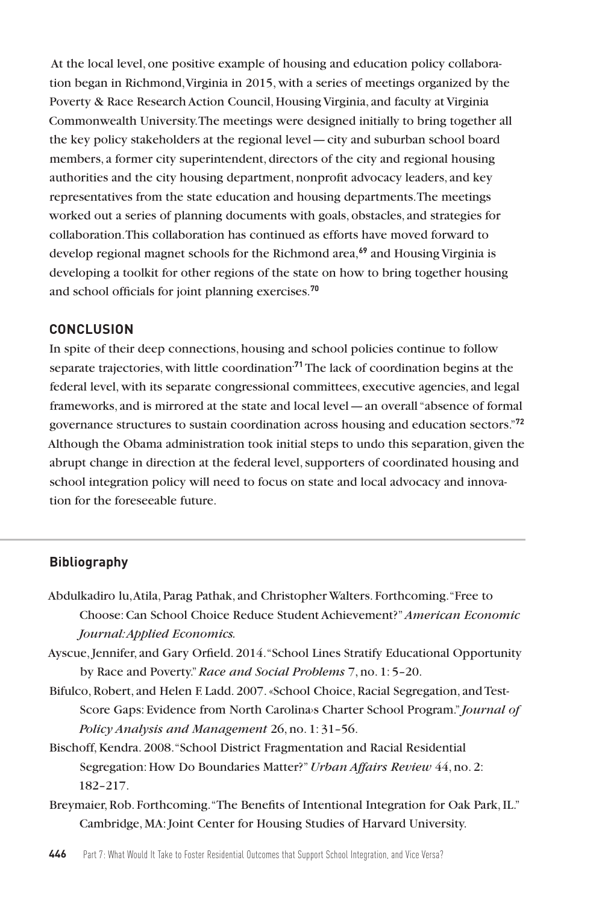At the local level, one positive example of housing and education policy collaboration began in Richmond, Virginia in 2015, with a series of meetings organized by the Poverty & Race Research Action Council, Housing Virginia, and faculty at Virginia Commonwealth University. The meetings were designed initially to bring together all the key policy stakeholders at the regional level—city and suburban school board members, a former city superintendent, directors of the city and regional housing authorities and the city housing department, nonprofit advocacy leaders, and key representatives from the state education and housing departments. The meetings worked out a series of planning documents with goals, obstacles, and strategies for collaboration. This collaboration has continued as efforts have moved forward to develop regional magnet schools for the Richmond area,**<sup>69</sup>** and Housing Virginia is developing a toolkit for other regions of the state on how to bring together housing and school officials for joint planning exercises.**<sup>70</sup>**

#### **CONCLUSION**

In spite of their deep connections, housing and school policies continue to follow separate trajectories, with little coordination**.71** The lack of coordination begins at the federal level, with its separate congressional committees, executive agencies, and legal frameworks, and is mirrored at the state and local level—an overall "absence of formal governance structures to sustain coordination across housing and education sectors."**<sup>72</sup>** Although the Obama administration took initial steps to undo this separation, given the abrupt change in direction at the federal level, supporters of coordinated housing and school integration policy will need to focus on state and local advocacy and innovation for the foreseeable future.

#### **Bibliography**

- Abdulkadiro lu, Atila, Parag Pathak, and Christopher Walters. Forthcoming. "Free to Choose: Can School Choice Reduce Student Achievement?"*American Economic Journal: Applied Economics.*
- Ayscue, Jennifer, and Gary Orfield. 2014. "School Lines Stratify Educational Opportunity by Race and Poverty." *Race and Social Problems* 7, no. 1: 5–20.
- Bifulco, Robert, and Helen F. Ladd. 2007.«School Choice, Racial Segregation, and Test-Score Gaps: Evidence from North Carolina<sup>s</sup> Charter School Program." *Journal of Policy Analysis and Management* 26, no. 1: 31–56.
- Bischoff, Kendra. 2008. "School District Fragmentation and Racial Residential Segregation: How Do Boundaries Matter?" *Urban Affairs Review* 44, no. 2: 182–217.
- Breymaier, Rob. Forthcoming. "The Benefits of Intentional Integration for Oak Park, IL." Cambridge, MA: Joint Center for Housing Studies of Harvard University.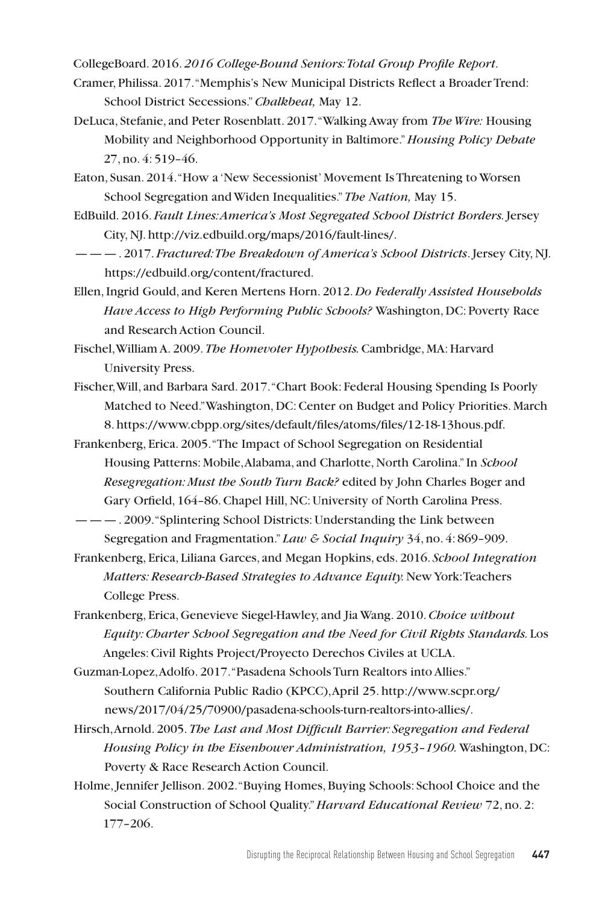CollegeBoard. 2016. *2016 College-Bound Seniors: Total Group Profile Report*.

- Cramer, Philissa. 2017. "Memphis's New Municipal Districts Reflect a Broader Trend: School District Secessions." *Chalkbeat,* May 12.
- DeLuca, Stefanie, and Peter Rosenblatt. 2017. "Walking Away from *The Wire:* Housing Mobility and Neighborhood Opportunity in Baltimore." *Housing Policy Debate* 27, no. 4: 519–46.
- Eaton, Susan. 2014. "How a 'New Secessionist' Movement Is Threatening to Worsen School Segregation and Widen Inequalities." *The Nation,* May 15.
- EdBuild. 2016. *Fault Lines: America's Most Segregated School District Borders.* Jersey City, NJ. http://viz.edbuild.org/maps/2016/fault-lines/.
- ———. 2017. *Fractured: The Breakdown of America's School Districts*. Jersey City, NJ. https://edbuild.org/content/fractured.
- Ellen, Ingrid Gould, and Keren Mertens Horn. 2012. *Do Federally Assisted Households Have Access to High Performing Public Schools?* Washington, DC: Poverty Race and Research Action Council.
- Fischel, William A. 2009. *The Homevoter Hypothesis.* Cambridge, MA: Harvard University Press.
- Fischer, Will, and Barbara Sard. 2017. "Chart Book: Federal Housing Spending Is Poorly Matched to Need." Washington, DC: Center on Budget and Policy Priorities. March 8. https://www.cbpp.org/sites/default/files/atoms/files/12-18-13hous.pdf.
- Frankenberg, Erica. 2005. "The Impact of School Segregation on Residential Housing Patterns: Mobile, Alabama, and Charlotte, North Carolina." In *School Resegregation: Must the South Turn Back?* edited by John Charles Boger and Gary Orfield, 164–86. Chapel Hill, NC: University of North Carolina Press.
- ———. 2009. "Splintering School Districts: Understanding the Link between Segregation and Fragmentation." *Law & Social Inquiry* 34, no. 4: 869–909.
- Frankenberg, Erica, Liliana Garces, and Megan Hopkins, eds. 2016. *School Integration Matters: Research-Based Strategies to Advance Equity.* New York: Teachers College Press.
- Frankenberg, Erica, Genevieve Siegel-Hawley, and Jia Wang. 2010.*Choice without Equity: Charter School Segregation and the Need for Civil Rights Standards.* Los Angeles: Civil Rights Project/Proyecto Derechos Civiles at UCLA.
- Guzman-Lopez, Adolfo. 2017. "Pasadena Schools Turn Realtors into Allies." Southern California Public Radio (KPCC), April 25. http://www.scpr.org/ news/2017/04/25/70900/pasadena-schools-turn-realtors-into-allies/.
- Hirsch, Arnold. 2005. *The Last and Most Difficult Barrier: Segregation and Federal Housing Policy in the Eisenhower Administration, 1953–1960.* Washington, DC: Poverty & Race Research Action Council.
- Holme, Jennifer Jellison. 2002. "Buying Homes, Buying Schools: School Choice and the Social Construction of School Quality." *Harvard Educational Review* 72, no. 2: 177–206.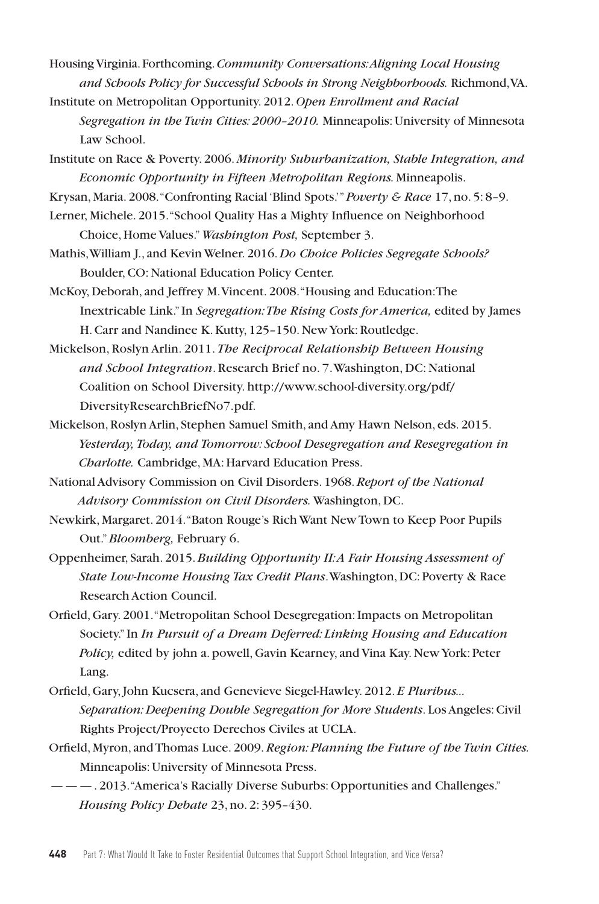- Housing Virginia. Forthcoming. *Community Conversations: Aligning Local Housing and Schools Policy for Successful Schools in Strong Neighborhoods.* Richmond, VA.
- Institute on Metropolitan Opportunity. 2012. *Open Enrollment and Racial Segregation in the Twin Cities: 2000–2010.* Minneapolis: University of Minnesota Law School.
- Institute on Race & Poverty. 2006. *Minority Suburbanization, Stable Integration, and Economic Opportunity in Fifteen Metropolitan Regions.* Minneapolis.
- Krysan, Maria. 2008. "Confronting Racial 'Blind Spots.'" *Poverty & Race* 17, no. 5: 8–9.
- Lerner, Michele. 2015. "School Quality Has a Mighty Influence on Neighborhood Choice, Home Values." *Washington Post,* September 3.
- Mathis, William J., and Kevin Welner. 2016. *Do Choice Policies Segregate Schools?*  Boulder, CO: National Education Policy Center.
- McKoy, Deborah, and Jeffrey M. Vincent. 2008. "Housing and Education: The Inextricable Link." In *Segregation: The Rising Costs for America,* edited by James H. Carr and Nandinee K. Kutty, 125–150. New York: Routledge.
- Mickelson, Roslyn Arlin. 2011. *The Reciprocal Relationship Between Housing and School Integration*. Research Brief no. 7. Washington, DC: National Coalition on School Diversity. http://www.school-diversity.org/pdf/ DiversityResearchBriefNo7.pdf.
- Mickelson, Roslyn Arlin, Stephen Samuel Smith, and Amy Hawn Nelson, eds. 2015. *Yesterday, Today, and Tomorrow: School Desegregation and Resegregation in Charlotte.* Cambridge, MA: Harvard Education Press.
- National Advisory Commission on Civil Disorders. 1968. *Report of the National Advisory Commission on Civil Disorders.* Washington, DC.
- Newkirk, Margaret. 2014. "Baton Rouge's Rich Want New Town to Keep Poor Pupils Out." *Bloomberg,* February 6.
- Oppenheimer, Sarah. 2015. *Building Opportunity II: A Fair Housing Assessment of State Low-Income Housing Tax Credit Plans*. Washington, DC: Poverty & Race Research Action Council.
- Orfield, Gary. 2001. "Metropolitan School Desegregation: Impacts on Metropolitan Society." In *In Pursuit of a Dream Deferred: Linking Housing and Education Policy,* edited by john a. powell, Gavin Kearney, and Vina Kay. New York: Peter Lang.
- Orfield, Gary, John Kucsera, and Genevieve Siegel-Hawley. 2012. *E Pluribus... Separation: Deepening Double Segregation for More Students*. Los Angeles: Civil Rights Project/Proyecto Derechos Civiles at UCLA.
- Orfield, Myron, and Thomas Luce. 2009. *Region: Planning the Future of the Twin Cities.*  Minneapolis: University of Minnesota Press.
- ———. 2013. "America's Racially Diverse Suburbs: Opportunities and Challenges." *Housing Policy Debate* 23, no. 2: 395–430.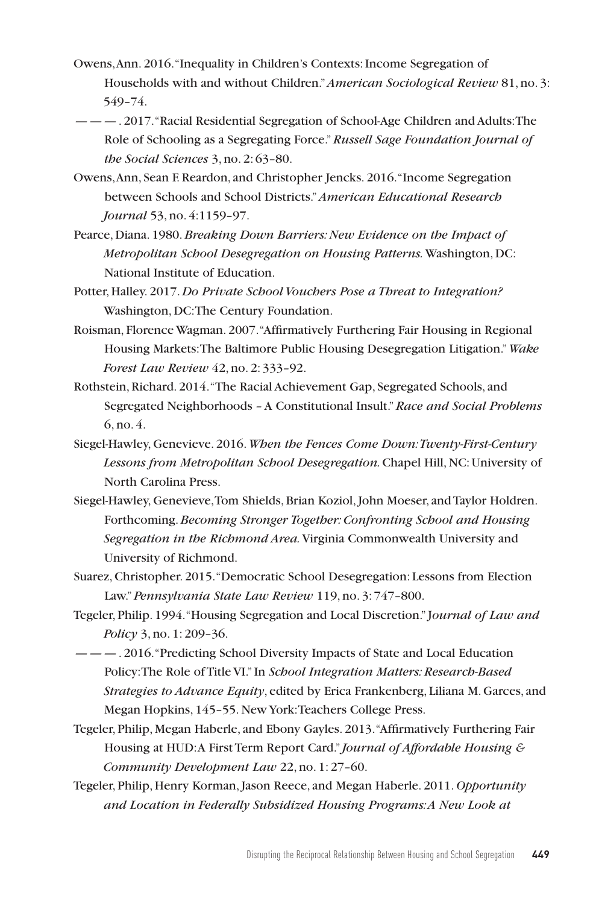- Owens, Ann. 2016. "Inequality in Children's Contexts: Income Segregation of Households with and without Children."*American Sociological Review* 81, no. 3: 549–74.
- ———. 2017. "Racial Residential Segregation of School-Age Children and Adults: The Role of Schooling as a Segregating Force." *Russell Sage Foundation Journal of the Social Sciences* 3, no. 2: 63–80.
- Owens, Ann, Sean F. Reardon, and Christopher Jencks. 2016. "Income Segregation between Schools and School Districts." *American Educational Research Journal* 53, no. 4:1159–97.
- Pearce, Diana. 1980. *Breaking Down Barriers: New Evidence on the Impact of Metropolitan School Desegregation on Housing Patterns.* Washington, DC: National Institute of Education.
- Potter, Halley. 2017. *Do Private School Vouchers Pose a Threat to Integration?*  Washington, DC: The Century Foundation.
- Roisman, Florence Wagman. 2007. "Affirmatively Furthering Fair Housing in Regional Housing Markets: The Baltimore Public Housing Desegregation Litigation." *Wake Forest Law Review* 42, no. 2: 333–92.
- Rothstein, Richard. 2014. "The Racial Achievement Gap, Segregated Schools, and Segregated Neighborhoods – A Constitutional Insult." *Race and Social Problems*  6, no. 4.
- Siegel-Hawley, Genevieve. 2016. *When the Fences Come Down: Twenty-First-Century Lessons from Metropolitan School Desegregation.* Chapel Hill, NC: University of North Carolina Press.
- Siegel-Hawley, Genevieve, Tom Shields, Brian Koziol, John Moeser, and Taylor Holdren. Forthcoming. *Becoming Stronger Together: Confronting School and Housing Segregation in the Richmond Area.* Virginia Commonwealth University and University of Richmond.
- Suarez, Christopher. 2015. "Democratic School Desegregation: Lessons from Election Law." *Pennsylvania State Law Review* 119, no. 3: 747–800.
- Tegeler, Philip. 1994. "Housing Segregation and Local Discretion." J*ournal of Law and Policy* 3, no. 1: 209–36.
- ———. 2016. "Predicting School Diversity Impacts of State and Local Education Policy: The Role of Title VI." In *School Integration Matters: Research-Based Strategies to Advance Equity*, edited by Erica Frankenberg, Liliana M. Garces, and Megan Hopkins, 145–55. New York: Teachers College Press.
- Tegeler, Philip, Megan Haberle, and Ebony Gayles. 2013. "Affirmatively Furthering Fair Housing at HUD: A First Term Report Card." *Journal of Affordable Housing & Community Development Law* 22, no. 1: 27–60.
- Tegeler, Philip, Henry Korman, Jason Reece, and Megan Haberle. 2011. *Opportunity and Location in Federally Subsidized Housing Programs: A New Look at*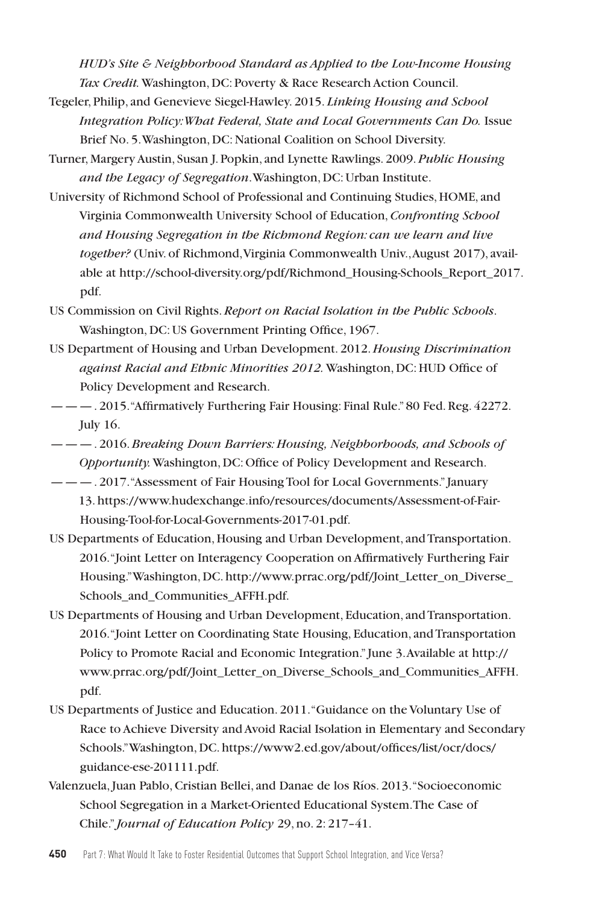*HUD's Site & Neighborhood Standard as Applied to the Low-Income Housing Tax Credit.* Washington, DC: Poverty & Race Research Action Council.

- Tegeler, Philip, and Genevieve Siegel-Hawley. 2015. *Linking Housing and School Integration Policy: What Federal, State and Local Governments Can Do.* Issue Brief No. 5. Washington, DC: National Coalition on School Diversity.
- Turner, Margery Austin, Susan J. Popkin, and Lynette Rawlings. 2009. *Public Housing and the Legacy of Segregation*. Washington, DC: Urban Institute.
- University of Richmond School of Professional and Continuing Studies, HOME, and Virginia Commonwealth University School of Education, *Confronting School and Housing Segregation in the Richmond Region: can we learn and live together?* (Univ. of Richmond, Virginia Commonwealth Univ., August 2017), available at http://school-diversity.org/pdf/Richmond\_Housing-Schools\_Report\_2017. pdf.
- US Commission on Civil Rights. *Report on Racial Isolation in the Public Schools*. Washington, DC: US Government Printing Office, 1967.
- US Department of Housing and Urban Development. 2012. *Housing Discrimination against Racial and Ethnic Minorities 2012.* Washington, DC: HUD Office of Policy Development and Research.
- ———. 2015. "Affirmatively Furthering Fair Housing: Final Rule." 80 Fed. Reg. 42272. July 16.
- ———. 2016. *Breaking Down Barriers: Housing, Neighborhoods, and Schools of Opportunity.* Washington, DC: Office of Policy Development and Research.
- ———. 2017. "Assessment of Fair Housing Tool for Local Governments." January 13. https://www.hudexchange.info/resources/documents/Assessment-of-Fair-Housing-Tool-for-Local-Governments-2017-01.pdf.
- US Departments of Education, Housing and Urban Development, and Transportation. 2016. "Joint Letter on Interagency Cooperation on Affirmatively Furthering Fair Housing." Washington, DC. http://www.prrac.org/pdf/Joint\_Letter\_on\_Diverse\_ Schools and Communities AFFH.pdf.
- US Departments of Housing and Urban Development, Education, and Transportation. 2016. "Joint Letter on Coordinating State Housing, Education, and Transportation Policy to Promote Racial and Economic Integration." June 3. Available at http:// www.prrac.org/pdf/Joint\_Letter\_on\_Diverse\_Schools\_and\_Communities\_AFFH. pdf.
- US Departments of Justice and Education. 2011. "Guidance on the Voluntary Use of Race to Achieve Diversity and Avoid Racial Isolation in Elementary and Secondary Schools." Washington, DC. https://www2.ed.gov/about/offices/list/ocr/docs/ guidance-ese-201111.pdf.
- Valenzuela, Juan Pablo, Cristian Bellei, and Danae de los Ríos. 2013. "Socioeconomic School Segregation in a Market-Oriented Educational System. The Case of Chile." *Journal of Education Policy* 29, no. 2: 217–41.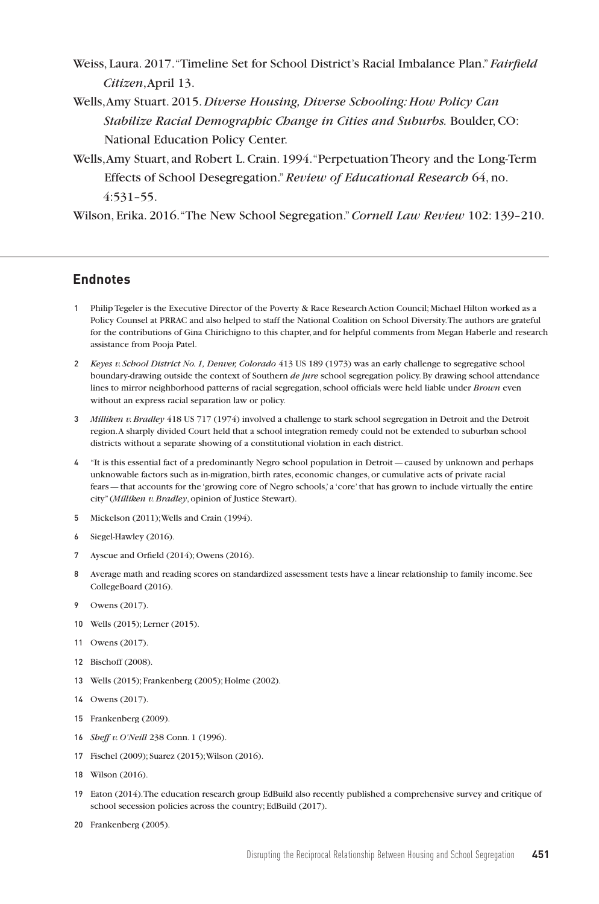- Weiss, Laura. 2017. "Timeline Set for School District's Racial Imbalance Plan." *Fairfield Citizen*, April 13.
- Wells, Amy Stuart. 2015. *Diverse Housing, Diverse Schooling: How Policy Can Stabilize Racial Demographic Change in Cities and Suburbs.* Boulder, CO: National Education Policy Center.
- Wells, Amy Stuart, and Robert L. Crain. 1994. "Perpetuation Theory and the Long-Term Effects of School Desegregation." *Review of Educational Research* 64, no. 4:531–55.

Wilson, Erika. 2016. "The New School Segregation." *Cornell Law Review* 102: 139–210.

#### **Endnotes**

- 1 Philip Tegeler is the Executive Director of the Poverty & Race Research Action Council; Michael Hilton worked as a Policy Counsel at PRRAC and also helped to staff the National Coalition on School Diversity. The authors are grateful for the contributions of Gina Chirichigno to this chapter, and for helpful comments from Megan Haberle and research assistance from Pooja Patel.
- 2 *Keyes v. School District No. 1, Denver, Colorado* 413 US 189 (1973) was an early challenge to segregative school boundary-drawing outside the context of Southern *de jure* school segregation policy. By drawing school attendance lines to mirror neighborhood patterns of racial segregation, school officials were held liable under *Brown* even without an express racial separation law or policy.
- 3 *Milliken v. Bradley* 418 US 717 (1974) involved a challenge to stark school segregation in Detroit and the Detroit region. A sharply divided Court held that a school integration remedy could not be extended to suburban school districts without a separate showing of a constitutional violation in each district.
- 4 "It is this essential fact of a predominantly Negro school population in Detroit—caused by unknown and perhaps unknowable factors such as in-migration, birth rates, economic changes, or cumulative acts of private racial fears—that accounts for the 'growing core of Negro schools,' a 'core' that has grown to include virtually the entire city" (*Milliken v. Bradley*, opinion of Justice Stewart).
- 5 Mickelson (2011); Wells and Crain (1994).
- 6 Siegel-Hawley (2016).
- 7 Ayscue and Orfield (2014); Owens (2016).
- 8 Average math and reading scores on standardized assessment tests have a linear relationship to family income. See CollegeBoard (2016).
- 9 Owens (2017).
- 10 Wells (2015); Lerner (2015).
- 11 Owens (2017).
- 12 Bischoff (2008).
- 13 Wells (2015); Frankenberg (2005); Holme (2002).
- 14 Owens (2017).
- 15 Frankenberg (2009).
- 16 *Sheff v. O'Neill* 238 Conn. 1 (1996).
- 17 Fischel (2009); Suarez (2015); Wilson (2016).
- 18 Wilson (2016).
- 19 Eaton (2014). The education research group EdBuild also recently published a comprehensive survey and critique of school secession policies across the country; EdBuild (2017).
- 20 Frankenberg (2005).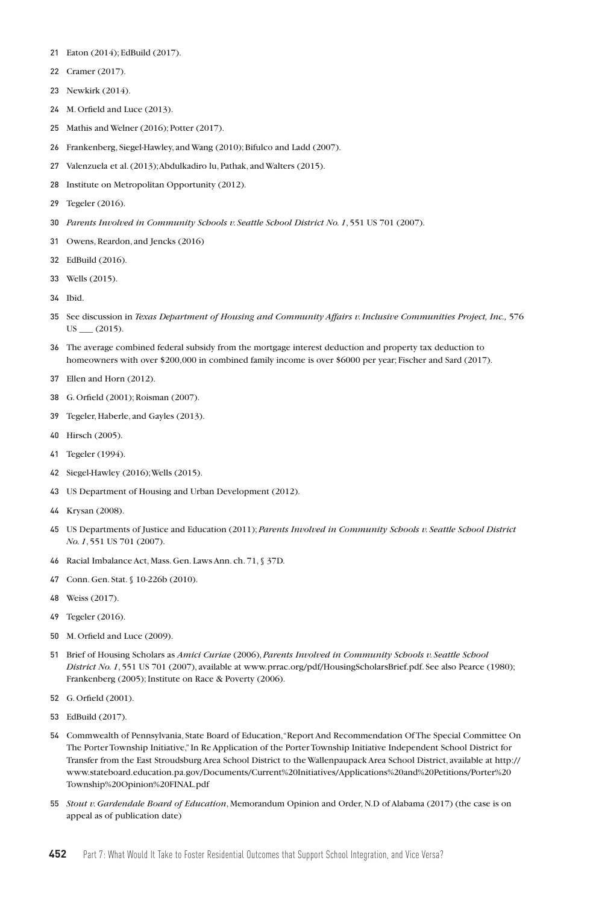- Eaton (2014); EdBuild (2017).
- Cramer (2017).
- Newkirk (2014).
- M. Orfield and Luce (2013).
- Mathis and Welner (2016); Potter (2017).
- Frankenberg, Siegel-Hawley, and Wang (2010); Bifulco and Ladd (2007).
- Valenzuela et al. (2013);Abdulkadiro lu, Pathak, and Walters (2015).
- Institute on Metropolitan Opportunity (2012).
- Tegeler (2016).
- *Parents Involved in Community Schools v. Seattle School District No. 1*, 551 US 701 (2007).
- Owens, Reardon, and Jencks (2016)
- EdBuild (2016).
- Wells (2015).
- Ibid.
- See discussion in *Texas Department of Housing and Community Affairs v. Inclusive Communities Project, Inc.,* 576  $US = (2015).$
- The average combined federal subsidy from the mortgage interest deduction and property tax deduction to homeowners with over \$200,000 in combined family income is over \$6000 per year; Fischer and Sard (2017).
- Ellen and Horn (2012).
- G. Orfield (2001); Roisman (2007).
- Tegeler, Haberle, and Gayles (2013).
- Hirsch (2005).
- Tegeler (1994).
- Siegel-Hawley (2016); Wells (2015).
- US Department of Housing and Urban Development (2012).
- Krysan (2008).
- US Departments of Justice and Education (2011); *Parents Involved in Community Schools v. Seattle School District No. 1*, 551 US 701 (2007).
- Racial Imbalance Act, Mass. Gen. Laws Ann. ch. 71, § 37D.
- Conn. Gen. Stat. § 10-226b (2010).
- Weiss (2017).
- Tegeler (2016).
- M. Orfield and Luce (2009).
- Brief of Housing Scholars as *Amici Curiae* (2006), *Parents Involved in Community Schools v. Seattle School District No. 1*, 551 US 701 (2007), available at www.prrac.org/pdf/HousingScholarsBrief.pdf. See also Pearce (1980); Frankenberg (2005); Institute on Race & Poverty (2006).
- G. Orfield (2001).
- EdBuild (2017).
- Commwealth of Pennsylvania, State Board of Education, "Report And Recommendation Of The Special Committee On The Porter Township Initiative," In Re Application of the Porter Township Initiative Independent School District for Transfer from the East Stroudsburg Area School District to the Wallenpaupack Area School District, available at http:// www.stateboard.education.pa.gov/Documents/Current%20Initiatives/Applications%20and%20Petitions/Porter%20 Township%20Opinion%20FINAL.pdf
- *Stout v. Gardendale Board of Education*, Memorandum Opinion and Order, N.D of Alabama (2017) (the case is on appeal as of publication date)